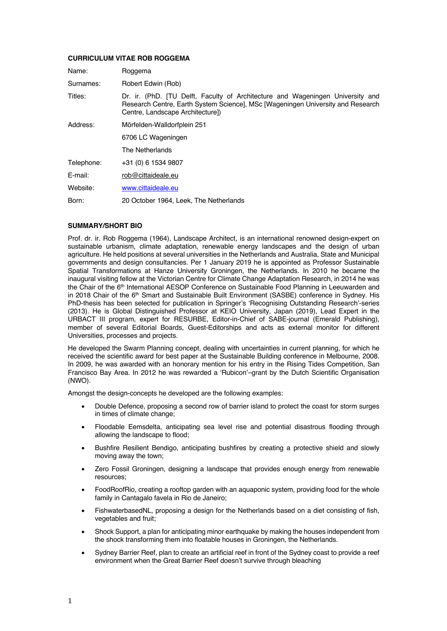# **CURRICULUM VITAE ROB ROGGEMA**

| Name:      | Roggema                                                                                                                                                                                               |
|------------|-------------------------------------------------------------------------------------------------------------------------------------------------------------------------------------------------------|
| Surnames:  | Robert Edwin (Rob)                                                                                                                                                                                    |
| Titles:    | Dr. ir. (PhD. [TU Delft, Faculty of Architecture and Wageningen University and<br>Research Centre, Earth System Science], MSc [Wageningen University and Research<br>Centre, Landscape Architecture]) |
| Address:   | Mörfelden-Walldorfplein 251                                                                                                                                                                           |
|            | 6706 LC Wageningen                                                                                                                                                                                    |
|            | The Netherlands                                                                                                                                                                                       |
| Telephone: | +31 (0) 6 1534 9807                                                                                                                                                                                   |
| E-mail:    | rob@cittaideale.eu                                                                                                                                                                                    |
| Website:   | www.cittaideale.eu                                                                                                                                                                                    |
| Born:      | 20 October 1964, Leek, The Netherlands                                                                                                                                                                |

### **SUMMARY/SHORT BIO**

Prof. dr. ir. Rob Roggema (1964), Landscape Architect, is an international renowned design-expert on sustainable urbanism, climate adaptation, renewable energy landscapes and the design of urban agriculture. He held positions at several universities in the Netherlands and Australia, State and Municipal governments and design consultancies. Per 1 January 2019 he is appointed as Professor Sustainable Spatial Transformations at Hanze University Groningen, the Netherlands. In 2010 he became the inaugural visiting fellow at the Victorian Centre for Climate Change Adaptation Research, in 2014 he was the Chair of the 6<sup>th</sup> International AESOP Conference on Sustainable Food Planning in Leeuwarden and in 2018 Chair of the 6<sup>th</sup> Smart and Sustainable Built Environment (SASBE) conference in Sydney. His PhD-thesis has been selected for publication in Springer's 'Recognising Outstanding Research'-series (2013). He is Global Distinguished Professor at KEIO University, Japan (2019), Lead Expert in the URBACT III program, expert for RESURBE, Editor-in-Chief of SABE-journal (Emerald Publishing), member of several Editorial Boards, Guest-Editorships and acts as external monitor for different Universities, processes and projects.

He developed the Swarm Planning concept, dealing with uncertainties in current planning, for which he received the scientific award for best paper at the Sustainable Building conference in Melbourne, 2008. In 2009, he was awarded with an honorary mention for his entry in the Rising Tides Competition, San Francisco Bay Area. In 2012 he was rewarded a 'Rubicon'–grant by the Dutch Scientific Organisation (NWO).

Amongst the design-concepts he developed are the following examples:

- Double Defence, proposing a second row of barrier island to protect the coast for storm surges in times of climate change;
- Floodable Eemsdelta, anticipating sea level rise and potential disastrous flooding through allowing the landscape to flood;
- Bushfire Resilient Bendigo, anticipating bushfires by creating a protective shield and slowly moving away the town;
- Zero Fossil Groningen, designing a landscape that provides enough energy from renewable resources;
- FoodRoofRio, creating a rooftop garden with an aquaponic system, providing food for the whole family in Cantagalo favela in Rio de Janeiro;
- FishwaterbasedNL, proposing a design for the Netherlands based on a diet consisting of fish, vegetables and fruit;
- Shock Support, a plan for anticipating minor earthquake by making the houses independent from the shock transforming them into floatable houses in Groningen, the Netherlands.
- Sydney Barrier Reef, plan to create an artificial reef in front of the Sydney coast to provide a reef environment when the Great Barrier Reef doesn't survive through bleaching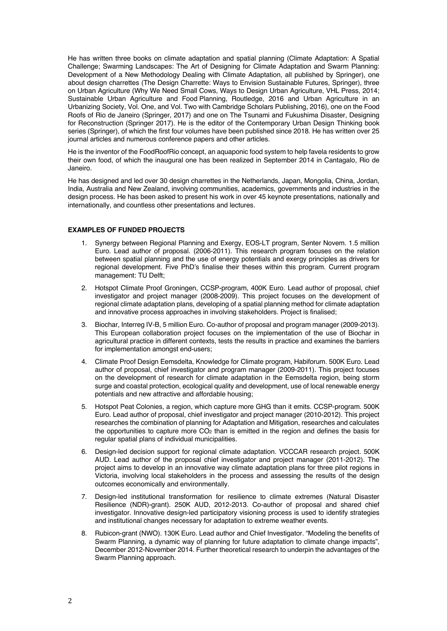He has written three books on climate adaptation and spatial planning (Climate Adaptation: A Spatial Challenge; Swarming Landscapes: The Art of Designing for Climate Adaptation and Swarm Planning: Development of a New Methodology Dealing with Climate Adaptation, all published by Springer), one about design charrettes (The Design Charrette: Ways to Envision Sustainable Futures, Springer), three on Urban Agriculture (Why We Need Small Cows, Ways to Design Urban Agriculture, VHL Press, 2014; Sustainable Urban Agriculture and Food Planning, Routledge, 2016 and Urban Agriculture in an Urbanizing Society, Vol. One, and Vol. Two with Cambridge Scholars Publishing, 2016), one on the Food Roofs of Rio de Janeiro (Springer, 2017) and one on The Tsunami and Fukushima Disaster, Designing for Reconstruction (Springer 2017). He is the editor of the Contemporary Urban Design Thinking book series (Springer), of which the first four volumes have been published since 2018. He has written over 25 journal articles and numerous conference papers and other articles.

He is the inventor of the FoodRoofRio concept, an aquaponic food system to help favela residents to grow their own food, of which the inaugural one has been realized in September 2014 in Cantagalo, Rio de Janeiro.

He has designed and led over 30 design charrettes in the Netherlands, Japan, Mongolia, China, Jordan, India, Australia and New Zealand, involving communities, academics, governments and industries in the design process. He has been asked to present his work in over 45 keynote presentations, nationally and internationally, and countless other presentations and lectures.

## **EXAMPLES OF FUNDED PROJECTS**

- 1. Synergy between Regional Planning and Exergy, EOS-LT program, Senter Novem. 1.5 million Euro. Lead author of proposal. (2006-2011). This research program focuses on the relation between spatial planning and the use of energy potentials and exergy principles as drivers for regional development. Five PhD's finalise their theses within this program. Current program management: TU Delft;
- 2. Hotspot Climate Proof Groningen, CCSP-program, 400K Euro. Lead author of proposal, chief investigator and project manager (2008-2009). This project focuses on the development of regional climate adaptation plans, developing of a spatial planning method for climate adaptation and innovative process approaches in involving stakeholders. Project is finalised;
- 3. Biochar, Interreg IV-B, 5 million Euro. Co-author of proposal and program manager (2009-2013). This European collaboration project focuses on the implementation of the use of Biochar in agricultural practice in different contexts, tests the results in practice and examines the barriers for implementation amongst end-users;
- 4. Climate Proof Design Eemsdelta, Knowledge for Climate program, Habiforum. 500K Euro. Lead author of proposal, chief investigator and program manager (2009-2011). This project focuses on the development of research for climate adaptation in the Eemsdelta region, being storm surge and coastal protection, ecological quality and development, use of local renewable energy potentials and new attractive and affordable housing;
- 5. Hotspot Peat Colonies, a region, which capture more GHG than it emits. CCSP-program. 500K Euro. Lead author of proposal, chief investigator and project manager (2010-2012). This project researches the combination of planning for Adaptation and Mitigation, researches and calculates the opportunities to capture more  $CO<sub>2</sub>$  than is emitted in the region and defines the basis for regular spatial plans of individual municipalities.
- 6. Design-led decision support for regional climate adaptation. VCCCAR research project. 500K AUD. Lead author of the proposal chief investigator and project manager (2011-2012). The project aims to develop in an innovative way climate adaptation plans for three pilot regions in Victoria, involving local stakeholders in the process and assessing the results of the design outcomes economically and environmentally.
- 7. Design-led institutional transformation for resilience to climate extremes (Natural Disaster Resilience (NDR)-grant). 250K AUD, 2012-2013. Co-author of proposal and shared chief investigator. Innovative design-led participatory visioning process is used to identify strategies and institutional changes necessary for adaptation to extreme weather events.
- 8. Rubicon-grant (NWO). 130K Euro. Lead author and Chief Investigator. "Modeling the benefits of Swarm Planning, a dynamic way of planning for future adaptation to climate change impacts", December 2012-November 2014. Further theoretical research to underpin the advantages of the Swarm Planning approach.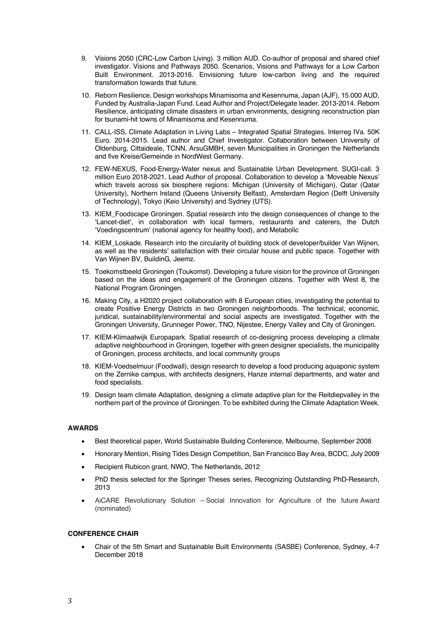- 9. Visions 2050 (CRC-Low Carbon Living). 3 million AUD. Co-author of proposal and shared chief investigator. Visions and Pathways 2050. Scenarios, Visions and Pathways for a Low Carbon Built Environment. 2013-2016. Envisioning future low-carbon living and the required transformation towards that future.
- 10. Reborn Resilience, Design workshops Minamisoma and Kesennuma, Japan (AJF), 15.000 AUD, Funded by Australia-Japan Fund. Lead Author and Project/Delegate leader. 2013-2014. Reborn Resilience, anticipating climate disasters in urban environments, designing reconstruction plan for tsunami-hit towns of Minamisoma and Kesennuma.
- 11. CALL-ISS, Climate Adaptation in Living Labs Integrated Spatial Strategies. Interreg IVa. 50K Euro. 2014-2015. Lead author and Chief Investigator. Collaboration between University of Oldenburg, Cittaideale, TCNN, ArsuGMBH, seven Municipalities in Groningen the Netherlands and five Kreise/Gemeinde in NordWest Germany.
- 12. FEW-NEXUS, Food-Energy-Water nexus and Sustainable Urban Development. SUGI-call. 3 million Euro 2018-2021. Lead Author of proposal. Collaboration to develop a 'Moveable Nexus' which travels across six biosphere regions: Michigan (University of Michigan), Qatar (Qatar University), Northern Ireland (Queens University Belfast), Amsterdam Region (Delft University of Technology), Tokyo (Keio University) and Sydney (UTS).
- 13. KIEM\_Foodscape Groningen. Spatial research into the design consequences of change to the 'Lancet-diet', in collaboration with local farmers, restaurants and caterers, the Dutch 'Voedingscentrum' (national agency for healthy food), and Metabolic
- 14. KIEM\_Loskade. Research into the circularity of building stock of developer/builder Van Wijnen, as well as the residents' satisfaction with their circular house and public space. Together with Van Wijnen BV, BuildinG, Jeemz.
- 15. Toekomstbeeld Groningen (Toukomst). Developing a future vision for the province of Groningen based on the ideas and engagement of the Groningen citizens. Together with West 8, the National Program Groningen.
- 16. Making City, a H2020 project collaboration with 8 European cities, investigating the potential to create Positive Energy Districts in two Groningen neighborhoods. The technical, economic, juridical, sustainability/environmental and social aspects are investigated. Together with the Groningen University, Grunneger Power, TNO, Nijestee, Energy Valley and City of Groningen.
- 17. KIEM-Klimaatwijk Europapark. Spatial research of co-designing process developing a climate adaptive neighbourhood in Groningen, together with green designer specialists, the municipality of Groningen, process architects, and local community groups
- 18. KIEM-Voedselmuur (Foodwall), design research to develop a food producing aquaponic system on the Zernike campus, with architects designers, Hanze internal departments, and water and food specialists.
- 19. Design team climate Adaptation, designing a climate adaptive plan for the Reitdiepvalley in the northern part of the province of Groningen. To be exhibited during the Climate Adaptation Week.

# **AWARDS**

- Best theoretical paper, World Sustainable Building Conference, Melbourne, September 2008
- Honorary Mention, Rising Tides Design Competition, San Francisco Bay Area, BCDC, July 2009
- Recipient Rubicon grant, NWO, The Netherlands, 2012
- PhD thesis selected for the Springer Theses series, Recognizing Outstanding PhD-Research, 2013
- AiCARE Revolutionary Solution Social Innovation for Agriculture of the future Award (nominated)

# **CONFERENCE CHAIR**

• Chair of the 5th Smart and Sustainable Built Environments (SASBE) Conference, Sydney, 4-7 December 2018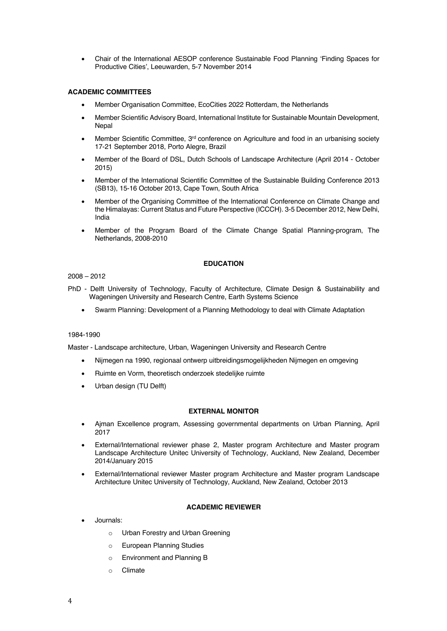• Chair of the International AESOP conference Sustainable Food Planning 'Finding Spaces for Productive Cities', Leeuwarden, 5-7 November 2014

# **ACADEMIC COMMITTEES**

- Member Organisation Committee, EcoCities 2022 Rotterdam, the Netherlands
- Member Scientific Advisory Board, International Institute for Sustainable Mountain Development, Nepal
- Member Scientific Committee, 3<sup>rd</sup> conference on Agriculture and food in an urbanising society 17-21 September 2018, Porto Alegre, Brazil
- Member of the Board of DSL, Dutch Schools of Landscape Architecture (April 2014 October 2015)
- Member of the International Scientific Committee of the Sustainable Building Conference 2013 (SB13), 15-16 October 2013, Cape Town, South Africa
- Member of the Organising Committee of the International Conference on Climate Change and the Himalayas: Current Status and Future Perspective (ICCCH). 3-5 December 2012, New Delhi, India
- Member of the Program Board of the Climate Change Spatial Planning-program, The Netherlands, 2008-2010

## **EDUCATION**

# 2008 – 2012

- PhD Delft University of Technology, Faculty of Architecture, Climate Design & Sustainability and Wageningen University and Research Centre, Earth Systems Science
	- Swarm Planning: Development of a Planning Methodology to deal with Climate Adaptation

### 1984-1990

Master - Landscape architecture, Urban, Wageningen University and Research Centre

- Nijmegen na 1990, regionaal ontwerp uitbreidingsmogelijkheden Nijmegen en omgeving
- Ruimte en Vorm, theoretisch onderzoek stedelijke ruimte
- Urban design (TU Delft)

### **EXTERNAL MONITOR**

- Ajman Excellence program, Assessing governmental departments on Urban Planning, April 2017
- External/International reviewer phase 2, Master program Architecture and Master program Landscape Architecture Unitec University of Technology, Auckland, New Zealand, December 2014/January 2015
- External/International reviewer Master program Architecture and Master program Landscape Architecture Unitec University of Technology, Auckland, New Zealand, October 2013

### **ACADEMIC REVIEWER**

- Journals:
	- o Urban Forestry and Urban Greening
	- o European Planning Studies
	- o Environment and Planning B
	- o Climate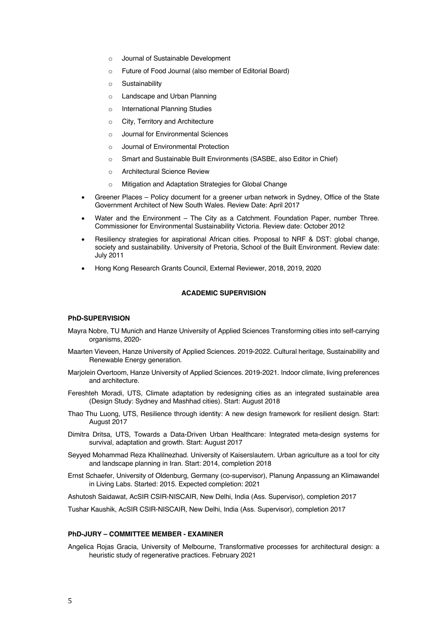- o Journal of Sustainable Development
- o Future of Food Journal (also member of Editorial Board)
- o Sustainability
- o Landscape and Urban Planning
- o International Planning Studies
- o City, Territory and Architecture
- o Journal for Environmental Sciences
- Journal of Environmental Protection
- o Smart and Sustainable Built Environments (SASBE, also Editor in Chief)
- o Architectural Science Review
- o Mitigation and Adaptation Strategies for Global Change
- Greener Places Policy document for a greener urban network in Sydney, Office of the State Government Architect of New South Wales. Review Date: April 2017
- Water and the Environment The City as a Catchment. Foundation Paper, number Three. Commissioner for Environmental Sustainability Victoria. Review date: October 2012
- Resiliency strategies for aspirational African cities. Proposal to NRF & DST: global change, society and sustainability. University of Pretoria, School of the Built Environment. Review date: July 2011
- Hong Kong Research Grants Council, External Reviewer, 2018, 2019, 2020

# **ACADEMIC SUPERVISION**

## **PhD-SUPERVISION**

- Mayra Nobre, TU Munich and Hanze University of Applied Sciences Transforming cities into self-carrying organisms, 2020-
- Maarten Vieveen, Hanze University of Applied Sciences. 2019-2022. Cultural heritage, Sustainability and Renewable Energy generation.
- Marjolein Overtoom, Hanze University of Applied Sciences. 2019-2021. Indoor climate, living preferences and architecture.
- Fereshteh Moradi, UTS, Climate adaptation by redesigning cities as an integrated sustainable area (Design Study: Sydney and Mashhad cities). Start: August 2018
- Thao Thu Luong, UTS, Resilience through identity: A new design framework for resilient design. Start: August 2017
- Dimitra Dritsa, UTS, Towards a Data-Driven Urban Healthcare: Integrated meta-design systems for survival, adaptation and growth. Start: August 2017
- Seyyed Mohammad Reza Khalilnezhad. University of Kaiserslautern. Urban agriculture as a tool for city and landscape planning in Iran. Start: 2014, completion 2018
- Ernst Schaefer, University of Oldenburg, Germany (co-supervisor), Planung Anpassung an Klimawandel in Living Labs. Started: 2015. Expected completion: 2021

Ashutosh Saidawat, AcSIR CSIR-NISCAIR, New Delhi, India (Ass. Supervisor), completion 2017

Tushar Kaushik, AcSIR CSIR-NISCAIR, New Delhi, India (Ass. Supervisor), completion 2017

#### **PhD-JURY – COMMITTEE MEMBER - EXAMINER**

Angelica Rojas Gracia, University of Melbourne, Transformative processes for architectural design: a heuristic study of regenerative practices. February 2021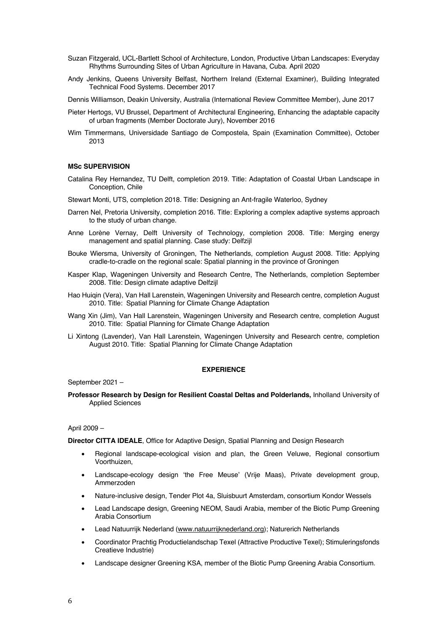- Suzan Fitzgerald, UCL-Bartlett School of Architecture, London, Productive Urban Landscapes: Everyday Rhythms Surrounding Sites of Urban Agriculture in Havana, Cuba. April 2020
- Andy Jenkins, Queens University Belfast, Northern Ireland (External Examiner), Building Integrated Technical Food Systems. December 2017

Dennis Williamson, Deakin University, Australia (International Review Committee Member), June 2017

- Pieter Hertogs, VU Brussel, Department of Architectural Engineering, Enhancing the adaptable capacity of urban fragments (Member Doctorate Jury), November 2016
- Wim Timmermans, Universidade Santiago de Compostela, Spain (Examination Committee), October 2013

#### **MSc SUPERVISION**

- Catalina Rey Hernandez, TU Delft, completion 2019. Title: Adaptation of Coastal Urban Landscape in Conception, Chile
- Stewart Monti, UTS, completion 2018. Title: Designing an Ant-fragile Waterloo, Sydney
- Darren Nel, Pretoria University, completion 2016. Title: Exploring a complex adaptive systems approach to the study of urban change.
- Anne Lorène Vernay, Delft University of Technology, completion 2008. Title: Merging energy management and spatial planning. Case study: Delfzijl
- Bouke Wiersma, University of Groningen, The Netherlands, completion August 2008. Title: Applying cradle-to-cradle on the regional scale: Spatial planning in the province of Groningen
- Kasper Klap, Wageningen University and Research Centre, The Netherlands, completion September 2008. Title: Design climate adaptive Delfzijl
- Hao Huiqin (Vera), Van Hall Larenstein, Wageningen University and Research centre, completion August 2010. Title: Spatial Planning for Climate Change Adaptation
- Wang Xin (Jim), Van Hall Larenstein, Wageningen University and Research centre, completion August 2010. Title: Spatial Planning for Climate Change Adaptation
- Li Xintong (Lavender), Van Hall Larenstein, Wageningen University and Research centre, completion August 2010. Title: Spatial Planning for Climate Change Adaptation

#### **EXPERIENCE**

September 2021 –

**Professor Research by Design for Resilient Coastal Deltas and Polderlands,** Inholland University of Applied Sciences

#### April 2009 –

**Director CITTA IDEALE**, Office for Adaptive Design, Spatial Planning and Design Research

- Regional landscape-ecological vision and plan, the Green Veluwe, Regional consortium Voorthuizen,
- Landscape-ecology design 'the Free Meuse' (Vrije Maas), Private development group, Ammerzoden
- Nature-inclusive design, Tender Plot 4a, Sluisbuurt Amsterdam, consortium Kondor Wessels
- Lead Landscape design, Greening NEOM, Saudi Arabia, member of the Biotic Pump Greening Arabia Consortium
- Lead Natuurrijk Nederland (www.natuurrijknederland.org); Naturerich Netherlands
- Coordinator Prachtig Productielandschap Texel (Attractive Productive Texel); Stimuleringsfonds Creatieve Industrie)
- Landscape designer Greening KSA, member of the Biotic Pump Greening Arabia Consortium.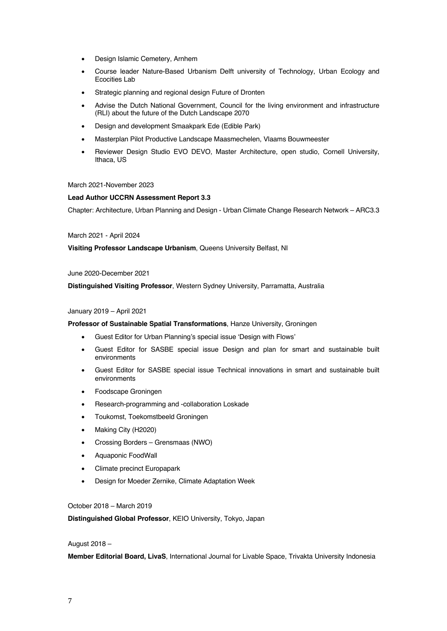- Design Islamic Cemetery, Arnhem
- Course leader Nature-Based Urbanism Delft university of Technology, Urban Ecology and Ecocities Lab
- Strategic planning and regional design Future of Dronten
- Advise the Dutch National Government, Council for the living environment and infrastructure (RLI) about the future of the Dutch Landscape 2070
- Design and development Smaakpark Ede (Edible Park)
- Masterplan Pilot Productive Landscape Maasmechelen, Vlaams Bouwmeester
- Reviewer Design Studio EVO DEVO, Master Architecture, open studio, Cornell University, Ithaca, US

### March 2021-November 2023

## **Lead Author UCCRN Assessment Report 3.3**

Chapter: Architecture, Urban Planning and Design - Urban Climate Change Research Network – ARC3.3

### March 2021 - April 2024

**Visiting Professor Landscape Urbanism**, Queens University Belfast, NI

### June 2020-December 2021

**Distinguished Visiting Professor**, Western Sydney University, Parramatta, Australia

### January 2019 – April 2021

### **Professor of Sustainable Spatial Transformations**, Hanze University, Groningen

- Guest Editor for Urban Planning's special issue 'Design with Flows'
- Guest Editor for SASBE special issue Design and plan for smart and sustainable built environments
- Guest Editor for SASBE special issue Technical innovations in smart and sustainable built environments
- Foodscape Groningen
- Research-programming and -collaboration Loskade
- Toukomst, Toekomstbeeld Groningen
- Making City (H2020)
- Crossing Borders Grensmaas (NWO)
- Aquaponic FoodWall
- Climate precinct Europapark
- Design for Moeder Zernike, Climate Adaptation Week

# October 2018 – March 2019

**Distinguished Global Professor**, KEIO University, Tokyo, Japan

## August 2018 –

**Member Editorial Board, LivaS**, International Journal for Livable Space, Trivakta University Indonesia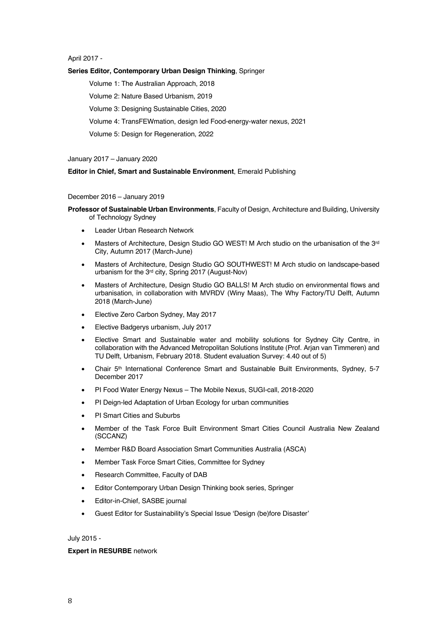April 2017 -

## **Series Editor, Contemporary Urban Design Thinking**, Springer

Volume 1: The Australian Approach, 2018

Volume 2: Nature Based Urbanism, 2019

Volume 3: Designing Sustainable Cities, 2020

Volume 4: TransFEWmation, design led Food-energy-water nexus, 2021

Volume 5: Design for Regeneration, 2022

January 2017 – January 2020

### **Editor in Chief, Smart and Sustainable Environment**, Emerald Publishing

### December 2016 – January 2019

- **Professor of Sustainable Urban Environments**, Faculty of Design, Architecture and Building, University of Technology Sydney
	- Leader Urban Research Network
	- Masters of Architecture, Design Studio GO WEST! M Arch studio on the urbanisation of the 3rd City, Autumn 2017 (March-June)
	- Masters of Architecture, Design Studio GO SOUTHWEST! M Arch studio on landscape-based urbanism for the 3rd city, Spring 2017 (August-Nov)
	- Masters of Architecture, Design Studio GO BALLS! M Arch studio on environmental flows and urbanisation, in collaboration with MVRDV (Winy Maas), The Why Factory/TU Delft, Autumn 2018 (March-June)
	- Elective Zero Carbon Sydney, May 2017
	- Elective Badgerys urbanism, July 2017
	- Elective Smart and Sustainable water and mobility solutions for Sydney City Centre, in collaboration with the Advanced Metropolitan Solutions Institute (Prof. Arjan van Timmeren) and TU Delft, Urbanism, February 2018. Student evaluation Survey: 4.40 out of 5)
	- Chair 5th International Conference Smart and Sustainable Built Environments, Sydney, 5-7 December 2017
	- PI Food Water Energy Nexus The Mobile Nexus, SUGI-call, 2018-2020
	- PI Deign-led Adaptation of Urban Ecology for urban communities
	- PI Smart Cities and Suburbs
	- Member of the Task Force Built Environment Smart Cities Council Australia New Zealand (SCCANZ)
	- Member R&D Board Association Smart Communities Australia (ASCA)
	- Member Task Force Smart Cities, Committee for Sydney
	- Research Committee, Faculty of DAB
	- Editor Contemporary Urban Design Thinking book series, Springer
	- Editor-in-Chief, SASBE journal
	- Guest Editor for Sustainability's Special Issue 'Design (be)fore Disaster'

## July 2015 -

### **Expert in RESURBE** network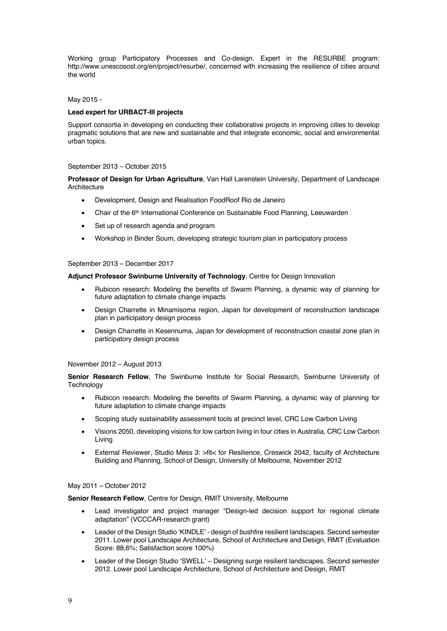Working group Participatory Processes and Co-design. Expert in the RESURBE program: http://www.unescosost.org/en/project/resurbe/, concerned with increasing the resilience of cities around the world

# May 2015 -

## **Lead expert for URBACT-III projects**

Support consortia in developing en conducting their collaborative projects in improving cities to develop pragmatic solutions that are new and sustainable and that integrate economic, social and environmental urban topics.

#### September 2013 – October 2015

**Professor of Design for Urban Agriculture**, Van Hall Larenstein University, Department of Landscape **Architecture** 

- Development, Design and Realisation FoodRoof Rio de Janeiro
- Chair of the 6th International Conference on Sustainable Food Planning, Leeuwarden
- Set up of research agenda and program
- Workshop in Binder Soum, developing strategic tourism plan in participatory process

#### September 2013 – December 2017

**Adjunct Professor Swinburne University of Technology**, Centre for Design Innovation

- Rubicon research: Modeling the benefits of Swarm Planning, a dynamic way of planning for future adaptation to climate change impacts
- Design Charrette in Minamisoma region, Japan for development of reconstruction landscape plan in participatory design process
- Design Charrette in Kesennuma, Japan for development of reconstruction coastal zone plan in participatory design process

#### November 2012 – August 2013

**Senior Research Fellow**, The Swinburne Institute for Social Research, Swinburne University of **Technology** 

- Rubicon research: Modeling the benefits of Swarm Planning, a dynamic way of planning for future adaptation to climate change impacts
- Scoping study sustainability assessment tools at precinct level, CRC Low Carbon Living
- Visions 2050, developing visions for low carbon living in four cities in Australia, CRC Low Carbon Living
- External Reviewer, Studio Mess 3: >fit< for Resilience, Creswick 2042, faculty of Architecture Building and Planning, School of Design, University of Melbourne, November 2012

#### May 2011 – October 2012

**Senior Research Fellow**, Centre for Design, RMIT University, Melbourne

- Lead investigator and project manager "Design-led decision support for regional climate adaptation" (VCCCAR-research grant)
- Leader of the Design Studio 'KINDLE' design of bushfire resilient landscapes. Second semester 2011. Lower pool Landscape Architecture, School of Architecture and Design, RMIT (Evaluation Score: 88,6%; Satisfaction score 100%)
- Leader of the Design Studio 'SWELL' Designing surge resilient landscapes. Second semester 2012. Lower pool Landscape Architecture, School of Architecture and Design, RMIT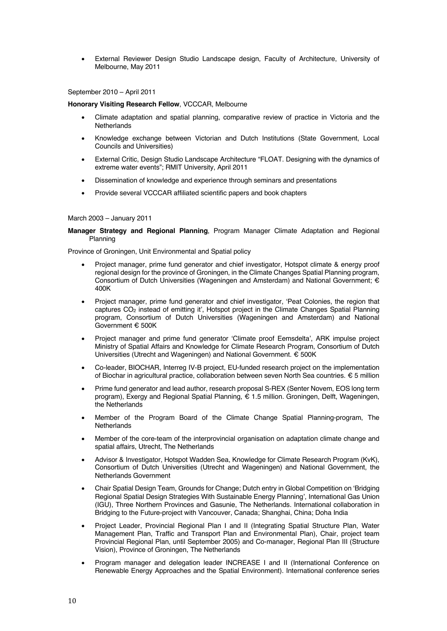• External Reviewer Design Studio Landscape design, Faculty of Architecture, University of Melbourne, May 2011

September 2010 – April 2011

### **Honorary Visiting Research Fellow, VCCCAR, Melbourne**

- Climate adaptation and spatial planning, comparative review of practice in Victoria and the **Netherlands**
- Knowledge exchange between Victorian and Dutch Institutions (State Government, Local Councils and Universities)
- External Critic, Design Studio Landscape Architecture "FLOAT. Designing with the dynamics of extreme water events"; RMIT University, April 2011
- Dissemination of knowledge and experience through seminars and presentations
- Provide several VCCCAR affiliated scientific papers and book chapters

#### March 2003 – January 2011

### **Manager Strategy and Regional Planning**, Program Manager Climate Adaptation and Regional Planning

Province of Groningen, Unit Environmental and Spatial policy

- Project manager, prime fund generator and chief investigator, Hotspot climate & energy proof regional design for the province of Groningen, in the Climate Changes Spatial Planning program, Consortium of Dutch Universities (Wageningen and Amsterdam) and National Government; € 400K
- Project manager, prime fund generator and chief investigator, 'Peat Colonies, the region that captures CO2 instead of emitting it', Hotspot project in the Climate Changes Spatial Planning program, Consortium of Dutch Universities (Wageningen and Amsterdam) and National Government € 500K
- Project manager and prime fund generator 'Climate proof Eemsdelta', ARK impulse project Ministry of Spatial Affairs and Knowledge for Climate Research Program, Consortium of Dutch Universities (Utrecht and Wageningen) and National Government. € 500K
- Co-leader, BIOCHAR, Interreg IV-B project, EU-funded research project on the implementation of Biochar in agricultural practice, collaboration between seven North Sea countries. € 5 million
- Prime fund generator and lead author, research proposal S-REX (Senter Novem, EOS long term program), Exergy and Regional Spatial Planning, € 1.5 million. Groningen, Delft, Wageningen, the Netherlands
- Member of the Program Board of the Climate Change Spatial Planning-program, The **Netherlands**
- Member of the core-team of the interprovincial organisation on adaptation climate change and spatial affairs, Utrecht, The Netherlands
- Advisor & Investigator, Hotspot Wadden Sea, Knowledge for Climate Research Program (KvK), Consortium of Dutch Universities (Utrecht and Wageningen) and National Government, the Netherlands Government
- Chair Spatial Design Team, Grounds for Change; Dutch entry in Global Competition on 'Bridging Regional Spatial Design Strategies With Sustainable Energy Planning', International Gas Union (IGU), Three Northern Provinces and Gasunie, The Netherlands. International collaboration in Bridging to the Future-project with Vancouver, Canada; Shanghai, China; Doha India
- Project Leader, Provincial Regional Plan I and II (Integrating Spatial Structure Plan, Water Management Plan, Traffic and Transport Plan and Environmental Plan), Chair, project team Provincial Regional Plan, until September 2005) and Co-manager, Regional Plan III (Structure Vision), Province of Groningen, The Netherlands
- Program manager and delegation leader INCREASE I and II (International Conference on Renewable Energy Approaches and the Spatial Environment). International conference series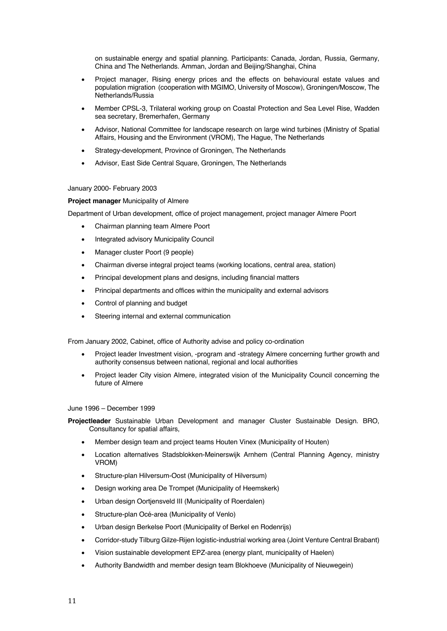on sustainable energy and spatial planning. Participants: Canada, Jordan, Russia, Germany, China and The Netherlands. Amman, Jordan and Beijing/Shanghai, China

- Project manager, Rising energy prices and the effects on behavioural estate values and population migration (cooperation with MGIMO, University of Moscow), Groningen/Moscow, The Netherlands/Russia
- Member CPSL-3, Trilateral working group on Coastal Protection and Sea Level Rise, Wadden sea secretary, Bremerhafen, Germany
- Advisor, National Committee for landscape research on large wind turbines (Ministry of Spatial Affairs, Housing and the Environment (VROM), The Hague, The Netherlands
- Strategy-development, Province of Groningen, The Netherlands
- Advisor, East Side Central Square, Groningen, The Netherlands

### January 2000- February 2003

## **Project manager** Municipality of Almere

Department of Urban development, office of project management, project manager Almere Poort

- Chairman planning team Almere Poort
- Integrated advisory Municipality Council
- Manager cluster Poort (9 people)
- Chairman diverse integral project teams (working locations, central area, station)
- Principal development plans and designs, including financial matters
- Principal departments and offices within the municipality and external advisors
- Control of planning and budget
- Steering internal and external communication

From January 2002, Cabinet, office of Authority advise and policy co-ordination

- Project leader Investment vision, -program and -strategy Almere concerning further growth and authority consensus between national, regional and local authorities
- Project leader City vision Almere, integrated vision of the Municipality Council concerning the future of Almere

June 1996 – December 1999

**Projectleader** Sustainable Urban Development and manager Cluster Sustainable Design. BRO, Consultancy for spatial affairs,

- Member design team and project teams Houten Vinex (Municipality of Houten)
- Location alternatives Stadsblokken-Meinerswijk Arnhem (Central Planning Agency, ministry VROM)
- Structure-plan Hilversum-Oost (Municipality of Hilversum)
- Design working area De Trompet (Municipality of Heemskerk)
- Urban design Oortjensveld III (Municipality of Roerdalen)
- Structure-plan Océ-area (Municipality of Venlo)
- Urban design Berkelse Poort (Municipality of Berkel en Rodenrijs)
- Corridor-study Tilburg Gilze-Rijen logistic-industrial working area (Joint Venture Central Brabant)
- Vision sustainable development EPZ-area (energy plant, municipality of Haelen)
- Authority Bandwidth and member design team Blokhoeve (Municipality of Nieuwegein)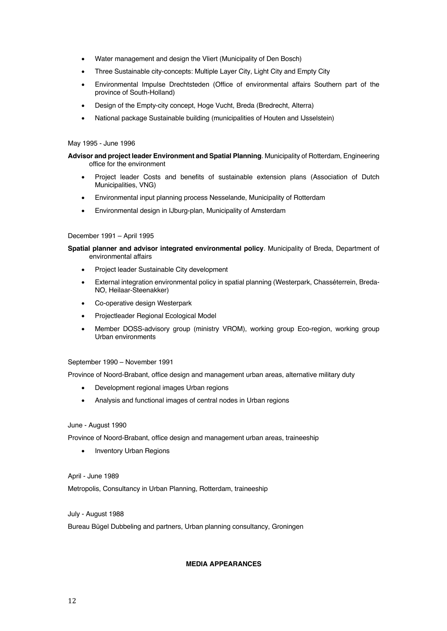- Water management and design the Vliert (Municipality of Den Bosch)
- Three Sustainable city-concepts: Multiple Layer City, Light City and Empty City
- Environmental Impulse Drechtsteden (Office of environmental affairs Southern part of the province of South-Holland)
- Design of the Empty-city concept, Hoge Vucht, Breda (Bredrecht, Alterra)
- National package Sustainable building (municipalities of Houten and IJsselstein)

#### May 1995 - June 1996

# **Advisor and project leader Environment and Spatial Planning**. Municipality of Rotterdam, Engineering office for the environment

- Project leader Costs and benefits of sustainable extension plans (Association of Dutch Municipalities, VNG)
- Environmental input planning process Nesselande, Municipality of Rotterdam
- Environmental design in IJburg-plan, Municipality of Amsterdam

#### December 1991 – April 1995

**Spatial planner and advisor integrated environmental policy**. Municipality of Breda, Department of environmental affairs

- Project leader Sustainable City development
- External integration environmental policy in spatial planning (Westerpark, Chasséterrein, Breda-NO, Heilaar-Steenakker)
- Co-operative design Westerpark
- Projectleader Regional Ecological Model
- Member DOSS-advisory group (ministry VROM), working group Eco-region, working group Urban environments

#### September 1990 – November 1991

Province of Noord-Brabant, office design and management urban areas, alternative military duty

- Development regional images Urban regions
- Analysis and functional images of central nodes in Urban regions

#### June - August 1990

Province of Noord-Brabant, office design and management urban areas, traineeship

• Inventory Urban Regions

April - June 1989 Metropolis, Consultancy in Urban Planning, Rotterdam, traineeship

# July - August 1988

Bureau Bügel Dubbeling and partners, Urban planning consultancy, Groningen

## **MEDIA APPEARANCES**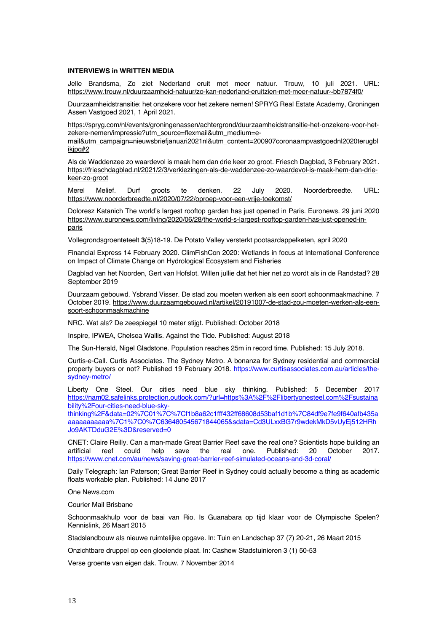## **INTERVIEWS in WRITTEN MEDIA**

Jelle Brandsma, Zo ziet Nederland eruit met meer natuur. Trouw, 10 juli 2021. URL: https://www.trouw.nl/duurzaamheid-natuur/zo-kan-nederland-eruitzien-met-meer-natuur~bb7874f0/

Duurzaamheidstransitie: het onzekere voor het zekere nemen! SPRYG Real Estate Academy, Groningen Assen Vastgoed 2021, 1 April 2021.

https://spryg.com/nl/events/groningenassen/achtergrond/duurzaamheidstransitie-het-onzekere-voor-hetzekere-nemen/impressie?utm\_source=flexmail&utm\_medium=e-

mail&utm\_campaign=nieuwsbriefjanuari2021nl&utm\_content=200907coronaampvastgoednl2020terugbl ikjpg#2

Als de Waddenzee zo waardevol is maak hem dan drie keer zo groot. Friesch Dagblad, 3 February 2021. https://frieschdagblad.nl/2021/2/3/verkiezingen-als-de-waddenzee-zo-waardevol-is-maak-hem-dan-driekeer-zo-groot

Merel Melief. Durf groots te denken. 22 July 2020. Noorderbreedte. URL: https://www.noorderbreedte.nl/2020/07/22/oproep-voor-een-vrije-toekomst/

Doloresz Katanich The world's largest rooftop garden has just opened in Paris. Euronews. 29 juni 2020 https://www.euronews.com/living/2020/06/28/the-world-s-largest-rooftop-garden-has-just-opened-inparis

Vollegrondsgroenteteelt **3**(5)18-19. De Potato Valley versterkt pootaardappelketen, april 2020

Financial Express 14 February 2020. ClimFishCon 2020: Wetlands in focus at International Conference on Impact of Climate Change on Hydrological Ecosystem and Fisheries

Dagblad van het Noorden, Gert van Hofslot. Willen jullie dat het hier net zo wordt als in de Randstad? 28 September 2019

Duurzaam gebouwd. Ysbrand Visser. De stad zou moeten werken als een soort schoonmaakmachine. 7 October 2019. https://www.duurzaamgebouwd.nl/artikel/20191007-de-stad-zou-moeten-werken-als-eensoort-schoonmaakmachine

NRC. Wat als? De zeespiegel 10 meter stijgt. Published: October 2018

Inspire, IPWEA, Chelsea Wallis. Against the Tide. Published: August 2018

The Sun-Herald, Nigel Gladstone. Population reaches 25m in record time. Published: 15 July 2018.

Curtis-e-Call. Curtis Associates. The Sydney Metro. A bonanza for Sydney residential and commercial property buyers or not? Published 19 February 2018. https://www.curtisassociates.com.au/articles/thesydney-metro/

Liberty One Steel. Our cities need blue sky thinking. Published: 5 December 2017 https://nam02.safelinks.protection.outlook.com/?url=https%3A%2F%2Flibertyonesteel.com%2Fsustaina bility%2Four-cities-need-blue-sky-

thinking%2F&data=02%7C01%7C%7Cf1b8a62c1fff432ff68608d53baf1d1b%7C84df9e7fe9f640afb435a aaaaaaaaaaa%7C1%7C0%7C636480545671844065&sdata=Cd3ULxxBG7r9wdekMkD5vUyEj512HRh Jo9AKTDduG2E%3D&reserved=0

CNET: Claire Reilly. Can a man-made Great Barrier Reef save the real one? Scientists hope building an artificial reef could help save the real one. Published: 20 October 2017. https://www.cnet.com/au/news/saving-great-barrier-reef-simulated-oceans-and-3d-coral/

Daily Telegraph: Ian Paterson; Great Barrier Reef in Sydney could actually become a thing as academic floats workable plan. Published: 14 June 2017

One News.com

Courier Mail Brisbane

Schoonmaakhulp voor de baai van Rio. Is Guanabara op tijd klaar voor de Olympische Spelen? Kennislink, 26 Maart 2015

Stadslandbouw als nieuwe ruimtelijke opgave. In: Tuin en Landschap 37 (7) 20-21, 26 Maart 2015

Onzichtbare druppel op een gloeiende plaat. In: Cashew Stadstuinieren 3 (1) 50-53

Verse groente van eigen dak. Trouw. 7 November 2014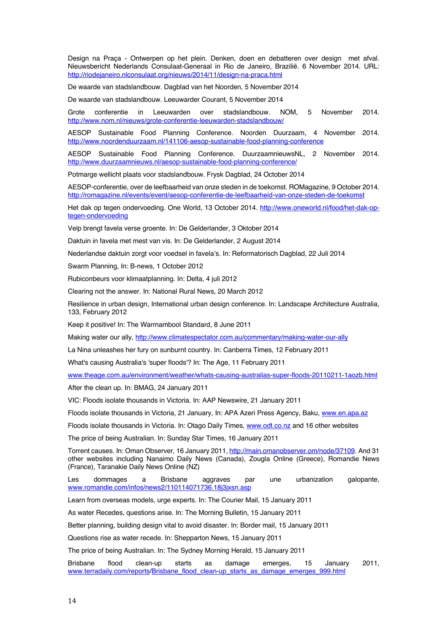Design na Praça - Ontwerpen op het plein. Denken, doen en debatteren over design met afval. Nieuwsbericht Nederlands Consulaat-Generaal in Rio de Janeiro, Brazilië. 6 November 2014. URL: http://riodejaneiro.nlconsulaat.org/nieuws/2014/11/design-na-praca.html

De waarde van stadslandbouw. Dagblad van het Noorden, 5 November 2014

De waarde van stadslandbouw. Leeuwarder Courant, 5 November 2014

Grote conferentie in Leeuwarden over stadslandbouw. NOM, 5 November 2014. http://www.nom.nl/nieuws/grote-conferentie-leeuwarden-stadslandbouw/

AESOP Sustainable Food Planning Conference. Noorden Duurzaam, 4 November 2014. http://www.noordenduurzaam.nl/141106-aesop-sustainable-food-planning-conference

AESOP Sustainable Food Planning Conference. DuurzaamnieuwsNL, 2 November 2014. http://www.duurzaamnieuws.nl/aesop-sustainable-food-planning-conference/

Potmarge wellicht plaats voor stadslandbouw. Frysk Dagblad, 24 October 2014

AESOP-conferentie, over de leefbaarheid van onze steden in de toekomst. ROMagazine, 9 October 2014. http://romagazine.nl/events/event/aesop-conferentie-de-leefbaarheid-van-onze-steden-de-toekomst

Het dak op tegen ondervoeding. One World, 13 October 2014. http://www.oneworld.nl/food/het-dak-optegen-ondervoeding

Velp brengt favela verse groente. In: De Gelderlander, 3 Oktober 2014

Daktuin in favela met mest van vis. In: De Gelderlander, 2 August 2014

Nederlandse daktuin zorgt voor voedsel in favela's. In: Reformatorisch Dagblad, 22 Juli 2014

Swarm Planning, In: B-news, 1 October 2012

Rubiconbeurs voor klimaatplanning. In: Delta, 4 juli 2012

Clearing not the answer. In: National Rural News, 20 March 2012

Resilience in urban design, International urban design conference. In: Landscape Architecture Australia, 133, February 2012

Keep it positive! In: The Warrnambool Standard, 8 June 2011

Making water our ally, http://www.climatespectator.com.au/commentary/making-water-our-ally

La Nina unleashes her fury on sunburnt country. In: Canberra Times, 12 February 2011

What's causing Australia's 'super floods'? In: The Age, 11 February 2011

www.theage.com.au/environment/weather/whats-causing-australias-super-floods-20110211-1aozb.html

After the clean up. In: BMAG, 24 January 2011

VIC: Floods isolate thousands in Victoria. In: AAP Newswire, 21 January 2011

Floods isolate thousands in Victoria, 21 January, In: APA Azeri Press Agency, Baku, www.en.apa.az

Floods isolate thousands in Victoria. In: Otago Daily Times, www.odt.co.nz and 16 other websites

The price of being Australian. In: Sunday Star Times, 16 January 2011

Torrent causes. In: Oman Observer, 16 January 2011, http://main.omanobserver.om/node/37109. And 31 other websites including Nanaimo Daily News (Canada), Zougla Online (Greece), Romandie News (France), Taranakie Daily News Online (NZ)

Les dommages a Brisbane aggraves par une urbanization galopante, www.romandie.com/infos/news2/110114071736.18j3jxsn.asp

Learn from overseas models, urge experts. In: The Courier Mail, 15 January 2011

As water Recedes, questions arise. In: The Morning Bulletin, 15 January 2011

Better planning, building design vital to avoid disaster. In: Border mail, 15 January 2011

Questions rise as water recede. In: Shepparton News, 15 January 2011

The price of being Australian. In: The Sydney Morning Herald, 15 January 2011

Brisbane flood clean-up starts as damage emerges, 15 January 2011, www.terradaily.com/reports/Brisbane\_flood\_clean-up\_starts\_as\_damage\_emerges\_999.html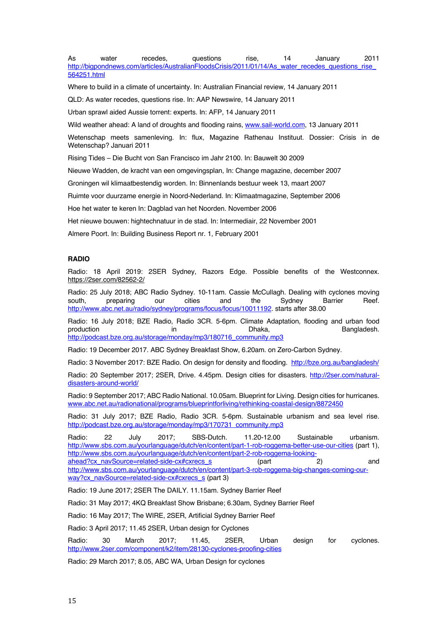As water recedes, questions rise, 14 January 2011 http://bigpondnews.com/articles/AustralianFloodsCrisis/2011/01/14/As\_water\_recedes\_questions\_rise 564251.html

Where to build in a climate of uncertainty. In: Australian Financial review, 14 January 2011

QLD: As water recedes, questions rise. In: AAP Newswire, 14 January 2011

Urban sprawl aided Aussie torrent: experts. In: AFP, 14 January 2011

Wild weather ahead: A land of droughts and flooding rains, www.sail-world.com, 13 January 2011

Wetenschap meets samenleving. In: flux, Magazine Rathenau Instituut. Dossier: Crisis in de Wetenschap? Januari 2011

Rising Tides – Die Bucht von San Francisco im Jahr 2100. In: Bauwelt 30 2009

Nieuwe Wadden, de kracht van een omgevingsplan, In: Change magazine, december 2007

Groningen wil klimaatbestendig worden. In: Binnenlands bestuur week 13, maart 2007

Ruimte voor duurzame energie in Noord-Nederland. In: Klimaatmagazine, September 2006

Hoe het water te keren In: Dagblad van het Noorden. November 2006

Het nieuwe bouwen: hightechnatuur in de stad. In: Intermediair, 22 November 2001

Almere Poort. In: Building Business Report nr. 1, February 2001

# **RADIO**

Radio: 18 April 2019: 2SER Sydney, Razors Edge. Possible benefits of the Westconnex. https://2ser.com/82562-2/

Radio: 25 July 2018; ABC Radio Sydney. 10-11am. Cassie McCullagh. Dealing with cyclones moving south, preparing our cities and the Sydney Barrier Reef. http://www.abc.net.au/radio/sydney/programs/focus/focus/10011192. starts after 38.00

Radio: 16 July 2018; BZE Radio, Radio 3CR. 5-6pm. Climate Adaptation, flooding and urban food production in in in Dhaka. Bangladesh. http://podcast.bze.org.au/storage/monday/mp3/180716\_community.mp3

Radio: 19 December 2017. ABC Sydney Breakfast Show, 6.20am. on Zero-Carbon Sydney.

Radio: 3 November 2017: BZE Radio. On design for density and flooding. http://bze.org.au/bangladesh/

Radio: 20 September 2017; 2SER, Drive. 4.45pm. Design cities for disasters. http://2ser.com/naturaldisasters-around-world/

Radio: 9 September 2017; ABC Radio National. 10.05am. Blueprint for Living. Design cities for hurricanes. www.abc.net.au/radionational/programs/blueprintforliving/rethinking-coastal-design/8872450

Radio: 31 July 2017; BZE Radio, Radio 3CR. 5-6pm. Sustainable urbanism and sea level rise. http://podcast.bze.org.au/storage/monday/mp3/170731\_community.mp3

Radio: 22 July 2017; SBS-Dutch. 11.20-12.00 Sustainable urbanism. http://www.sbs.com.au/yourlanguage/dutch/en/content/part-1-rob-roggema-better-use-our-cities (part 1), http://www.sbs.com.au/yourlanguage/dutch/en/content/part-2-rob-roggema-lookingahead?cx\_navSource=related-side-cx#cxrecs\_s (part 2) and http://www.sbs.com.au/yourlanguage/dutch/en/content/part-3-rob-roggema-big-changes-coming-ourway?cx\_navSource=related-side-cx#cxrecs\_s (part 3)

Radio: 19 June 2017; 2SER The DAILY. 11.15am. Sydney Barrier Reef

Radio: 31 May 2017; 4KQ Breakfast Show Brisbane; 6.30am, Sydney Barrier Reef

Radio: 16 May 2017; The WIRE, 2SER, Artificial Sydney Barrier Reef

Radio: 3 April 2017; 11.45 2SER, Urban design for Cyclones

Radio: 30 March 2017; 11.45, 2SER, Urban design for cyclones. http://www.2ser.com/component/k2/item/28130-cyclones-proofing-cities

Radio: 29 March 2017; 8.05, ABC WA, Urban Design for cyclones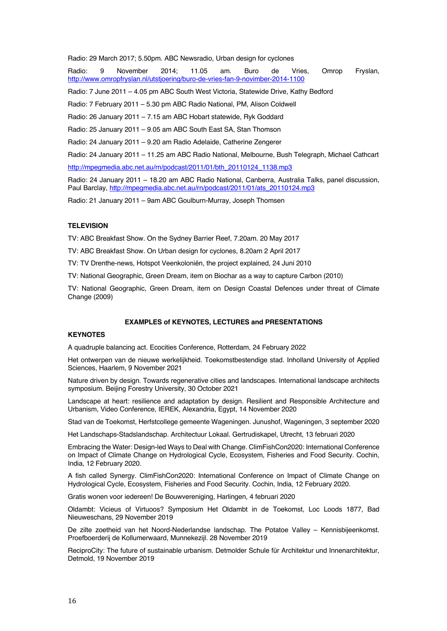Radio: 29 March 2017; 5.50pm. ABC Newsradio, Urban design for cyclones

Radio: 9 November 2014; 11.05 am. Buro de Vries, Omrop Fryslan, http://www.omropfryslan.nl/utstjoering/buro-de-vries-fan-9-novimber-2014-1100

Radio: 7 June 2011 – 4.05 pm ABC South West Victoria, Statewide Drive, Kathy Bedford

Radio: 7 February 2011 – 5.30 pm ABC Radio National, PM, Alison Coldwell

Radio: 26 January 2011 – 7.15 am ABC Hobart statewide, Ryk Goddard

Radio: 25 January 2011 – 9.05 am ABC South East SA, Stan Thomson

Radio: 24 January 2011 – 9.20 am Radio Adelaide, Catherine Zengerer

Radio: 24 January 2011 – 11.25 am ABC Radio National, Melbourne, Bush Telegraph, Michael Cathcart

http://mpegmedia.abc.net.au/rn/podcast/2011/01/bth\_20110124\_1138.mp3

Radio: 24 January 2011 – 18.20 am ABC Radio National, Canberra, Australia Talks, panel discussion, Paul Barclay, http://mpegmedia.abc.net.au/rn/podcast/2011/01/ats\_20110124.mp3

Radio: 21 January 2011 – 9am ABC Goulburn-Murray, Joseph Thomsen

# **TELEVISION**

TV: ABC Breakfast Show. On the Sydney Barrier Reef, 7.20am. 20 May 2017

TV: ABC Breakfast Show. On Urban design for cyclones, 8.20am 2 April 2017

TV: TV Drenthe-news, Hotspot Veenkoloniën, the project explained, 24 Juni 2010

TV: National Geographic, Green Dream, item on Biochar as a way to capture Carbon (2010)

TV: National Geographic, Green Dream, item on Design Coastal Defences under threat of Climate Change (2009)

#### **EXAMPLES of KEYNOTES, LECTURES and PRESENTATIONS**

# **KEYNOTES**

A quadruple balancing act. Ecocities Conference, Rotterdam, 24 February 2022

Het ontwerpen van de nieuwe werkelijkheid. Toekomstbestendige stad. Inholland University of Applied Sciences, Haarlem, 9 November 2021

Nature driven by design. Towards regenerative cities and landscapes. International landscape architects symposium. Beijing Forestry University, 30 October 2021

Landscape at heart: resilience and adaptation by design. Resilient and Responsible Architecture and Urbanism, Video Conference, IEREK, Alexandria, Egypt, 14 November 2020

Stad van de Toekomst, Herfstcollege gemeente Wageningen. Junushof, Wageningen, 3 september 2020

Het Landschaps-Stadslandschap. Architectuur Lokaal. Gertrudiskapel, Utrecht, 13 februari 2020

Embracing the Water: Design-led Ways to Deal with Change. ClimFishCon2020: International Conference on Impact of Climate Change on Hydrological Cycle, Ecosystem, Fisheries and Food Security. Cochin, India, 12 February 2020.

A fish called Synergy. ClimFishCon2020: International Conference on Impact of Climate Change on Hydrological Cycle, Ecosystem, Fisheries and Food Security. Cochin, India, 12 February 2020.

Gratis wonen voor iedereen! De Bouwvereniging, Harlingen, 4 februari 2020

Oldambt: Vicieus of Virtuoos? Symposium Het Oldambt in de Toekomst, Loc Loods 1877, Bad Nieuweschans, 29 November 2019

De zilte zoetheid van het Noord-Nederlandse landschap. The Potatoe Valley – Kennisbijeenkomst. Proefboerderij de Kollumerwaard, Munnekezijl. 28 November 2019

ReciproCity: The future of sustainable urbanism. Detmolder Schule für Architektur und Innenarchitektur, Detmold, 19 November 2019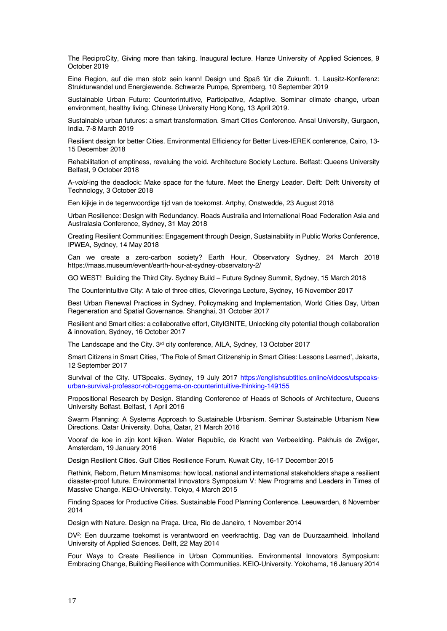The ReciproCity, Giving more than taking. Inaugural lecture. Hanze University of Applied Sciences, 9 October 2019

Eine Region, auf die man stolz sein kann! Design und Spaß für die Zukunft. 1. Lausitz-Konferenz: Strukturwandel und Energiewende. Schwarze Pumpe, Spremberg, 10 September 2019

Sustainable Urban Future: Counterintuitive, Participative, Adaptive. Seminar climate change, urban environment, healthy living. Chinese University Hong Kong, 13 April 2019.

Sustainable urban futures: a smart transformation. Smart Cities Conference. Ansal University, Gurgaon, India. 7-8 March 2019

Resilient design for better Cities. Environmental Efficiency for Better Lives-IEREK conference, Cairo, 13- 15 December 2018

Rehabilitation of emptiness, revaluing the void. Architecture Society Lecture. Belfast: Queens University Belfast, 9 October 2018

A-*void*-ing the deadlock: Make space for the future. Meet the Energy Leader. Delft: Delft University of Technology, 3 October 2018

Een kijkje in de tegenwoordige tijd van de toekomst. Artphy, Onstwedde, 23 August 2018

Urban Resilience: Design with Redundancy. Roads Australia and International Road Federation Asia and Australasia Conference, Sydney, 31 May 2018

Creating Resilient Communities: Engagement through Design, Sustainability in Public Works Conference, IPWEA, Sydney, 14 May 2018

Can we create a zero-carbon society? Earth Hour, Observatory Sydney, 24 March 2018 https://maas.museum/event/earth-hour-at-sydney-observatory-2/

GO WEST! Building the Third City. Sydney Build – Future Sydney Summit, Sydney, 15 March 2018

The Counterintuitive City: A tale of three cities, Cleveringa Lecture, Sydney, 16 November 2017

Best Urban Renewal Practices in Sydney, Policymaking and Implementation, World Cities Day, Urban Regeneration and Spatial Governance. Shanghai, 31 October 2017

Resilient and Smart cities: a collaborative effort, CityIGNITE, Unlocking city potential though collaboration & innovation, Sydney, 16 October 2017

The Landscape and the City. 3rd city conference, AILA, Sydney, 13 October 2017

Smart Citizens in Smart Cities, 'The Role of Smart Citizenship in Smart Cities: Lessons Learned', Jakarta, 12 September 2017

Survival of the City. UTSpeaks. Sydney, 19 July 2017 https://englishsubtitles.online/videos/utspeaksurban-survival-professor-rob-roggema-on-counterintuitive-thinking-149155

Propositional Research by Design. Standing Conference of Heads of Schools of Architecture, Queens University Belfast. Belfast, 1 April 2016

Swarm Planning: A Systems Approach to Sustainable Urbanism. Seminar Sustainable Urbanism New Directions. Qatar University. Doha, Qatar, 21 March 2016

Vooraf de koe in zijn kont kijken. Water Republic, de Kracht van Verbeelding. Pakhuis de Zwijger, Amsterdam, 19 January 2016

Design Resilient Cities. Gulf Cities Resilience Forum. Kuwait City, 16-17 December 2015

Rethink, Reborn, Return Minamisoma: how local, national and international stakeholders shape a resilient disaster-proof future. Environmental Innovators Symposium V: New Programs and Leaders in Times of Massive Change. KEIO-University. Tokyo, 4 March 2015

Finding Spaces for Productive Cities. Sustainable Food Planning Conference. Leeuwarden, 6 November 2014

Design with Nature. Design na Praça. Urca, Rio de Janeiro, 1 November 2014

DV2: Een duurzame toekomst is verantwoord en veerkrachtig. Dag van de Duurzaamheid. Inholland University of Applied Sciences. Delft, 22 May 2014

Four Ways to Create Resilience in Urban Communities. Environmental Innovators Symposium: Embracing Change, Building Resilience with Communities. KEIO-University. Yokohama, 16 January 2014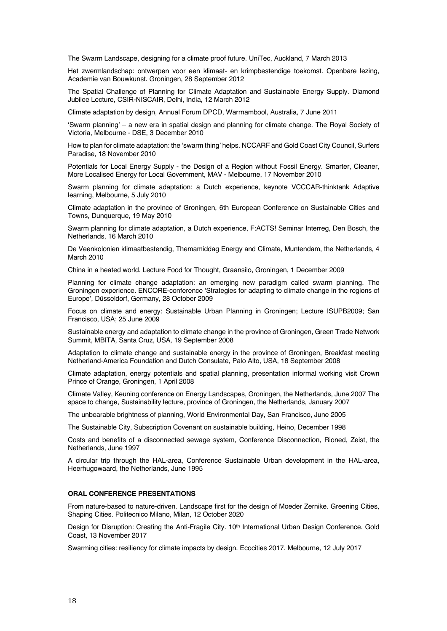The Swarm Landscape, designing for a climate proof future. UniTec, Auckland, 7 March 2013

Het zwermlandschap: ontwerpen voor een klimaat- en krimpbestendige toekomst. Openbare lezing, Academie van Bouwkunst. Groningen, 28 September 2012

The Spatial Challenge of Planning for Climate Adaptation and Sustainable Energy Supply. Diamond Jubilee Lecture, CSIR-NISCAIR, Delhi, India, 12 March 2012

Climate adaptation by design, Annual Forum DPCD, Warrnambool, Australia, 7 June 2011

'Swarm planning' – a new era in spatial design and planning for climate change. The Royal Society of Victoria, Melbourne - DSE, 3 December 2010

How to plan for climate adaptation: the 'swarm thing' helps. NCCARF and Gold Coast City Council, Surfers Paradise, 18 November 2010

Potentials for Local Energy Supply - the Design of a Region without Fossil Energy. Smarter, Cleaner, More Localised Energy for Local Government, MAV - Melbourne, 17 November 2010

Swarm planning for climate adaptation: a Dutch experience, keynote VCCCAR-thinktank Adaptive learning, Melbourne, 5 July 2010

Climate adaptation in the province of Groningen, 6th European Conference on Sustainable Cities and Towns, Dunquerque, 19 May 2010

Swarm planning for climate adaptation, a Dutch experience, F:ACTS! Seminar Interreg, Den Bosch, the Netherlands, 16 March 2010

De Veenkolonien klimaatbestendig, Themamiddag Energy and Climate, Muntendam, the Netherlands, 4 March 2010

China in a heated world. Lecture Food for Thought, Graansilo, Groningen, 1 December 2009

Planning for climate change adaptation: an emerging new paradigm called swarm planning. The Groningen experience. ENCORE-conference 'Strategies for adapting to climate change in the regions of Europe', Düsseldorf, Germany, 28 October 2009

Focus on climate and energy: Sustainable Urban Planning in Groningen; Lecture ISUPB2009; San Francisco, USA; 25 June 2009

Sustainable energy and adaptation to climate change in the province of Groningen, Green Trade Network Summit, MBITA, Santa Cruz, USA, 19 September 2008

Adaptation to climate change and sustainable energy in the province of Groningen, Breakfast meeting Netherland-America Foundation and Dutch Consulate, Palo Alto, USA, 18 September 2008

Climate adaptation, energy potentials and spatial planning, presentation informal working visit Crown Prince of Orange, Groningen, 1 April 2008

Climate Valley, Keuning conference on Energy Landscapes, Groningen, the Netherlands, June 2007 The space to change, Sustainability lecture, province of Groningen, the Netherlands, January 2007

The unbearable brightness of planning, World Environmental Day, San Francisco, June 2005

The Sustainable City, Subscription Covenant on sustainable building, Heino, December 1998

Costs and benefits of a disconnected sewage system, Conference Disconnection, Rioned, Zeist, the Netherlands, June 1997

A circular trip through the HAL-area, Conference Sustainable Urban development in the HAL-area, Heerhugowaard, the Netherlands, June 1995

#### **ORAL CONFERENCE PRESENTATIONS**

From nature-based to nature-driven. Landscape first for the design of Moeder Zernike. Greening Cities, Shaping Cities. Politecnico Milano, Milan, 12 October 2020

Design for Disruption: Creating the Anti-Fragile City. 10<sup>th</sup> International Urban Design Conference. Gold Coast, 13 November 2017

Swarming cities: resiliency for climate impacts by design. Ecocities 2017. Melbourne, 12 July 2017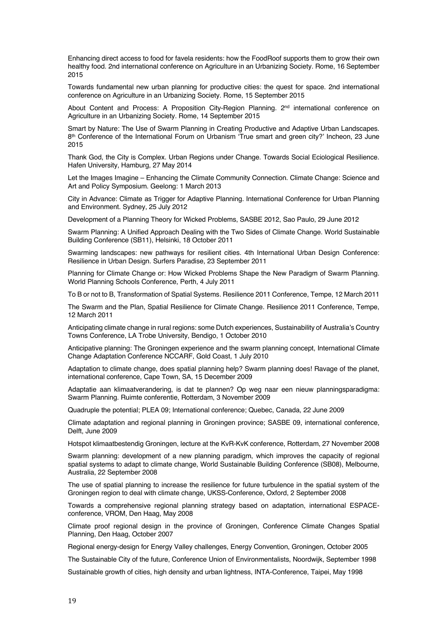Enhancing direct access to food for favela residents: how the FoodRoof supports them to grow their own healthy food. 2nd international conference on Agriculture in an Urbanizing Society. Rome, 16 September 2015

Towards fundamental new urban planning for productive cities: the quest for space. 2nd international conference on Agriculture in an Urbanizing Society. Rome, 15 September 2015

About Content and Process: A Proposition City-Region Planning. 2nd international conference on Agriculture in an Urbanizing Society. Rome, 14 September 2015

Smart by Nature: The Use of Swarm Planning in Creating Productive and Adaptive Urban Landscapes. 8th Conference of the International Forum on Urbanism 'True smart and green city?' Incheon, 23 June 2015

Thank God, the City is Complex. Urban Regions under Change. Towards Social Eciological Resilience. Hafen University, Hamburg, 27 May 2014

Let the Images Imagine – Enhancing the Climate Community Connection. Climate Change: Science and Art and Policy Symposium. Geelong: 1 March 2013

City in Advance: Climate as Trigger for Adaptive Planning. International Conference for Urban Planning and Environment. Sydney, 25 July 2012

Development of a Planning Theory for Wicked Problems, SASBE 2012, Sao Paulo, 29 June 2012

Swarm Planning: A Unified Approach Dealing with the Two Sides of Climate Change. World Sustainable Building Conference (SB11), Helsinki, 18 October 2011

Swarming landscapes: new pathways for resilient cities. 4th International Urban Design Conference: Resilience in Urban Design. Surfers Paradise, 23 September 2011

Planning for Climate Change or: How Wicked Problems Shape the New Paradigm of Swarm Planning. World Planning Schools Conference, Perth, 4 July 2011

To B or not to B, Transformation of Spatial Systems. Resilience 2011 Conference, Tempe, 12 March 2011

The Swarm and the Plan, Spatial Resilience for Climate Change. Resilience 2011 Conference, Tempe, 12 March 2011

Anticipating climate change in rural regions: some Dutch experiences, Sustainability of Australia's Country Towns Conference, LA Trobe University, Bendigo, 1 October 2010

Anticipative planning: The Groningen experience and the swarm planning concept, International Climate Change Adaptation Conference NCCARF, Gold Coast, 1 July 2010

Adaptation to climate change, does spatial planning help? Swarm planning does! Ravage of the planet, international conference, Cape Town, SA, 15 December 2009

Adaptatie aan klimaatverandering, is dat te plannen? Op weg naar een nieuw planningsparadigma: Swarm Planning. Ruimte conferentie, Rotterdam, 3 November 2009

Quadruple the potential; PLEA 09; International conference; Quebec, Canada, 22 June 2009

Climate adaptation and regional planning in Groningen province; SASBE 09, international conference, Delft, June 2009

Hotspot klimaatbestendig Groningen, lecture at the KvR-KvK conference, Rotterdam, 27 November 2008

Swarm planning: development of a new planning paradigm, which improves the capacity of regional spatial systems to adapt to climate change, World Sustainable Building Conference (SB08), Melbourne, Australia, 22 September 2008

The use of spatial planning to increase the resilience for future turbulence in the spatial system of the Groningen region to deal with climate change, UKSS-Conference, Oxford, 2 September 2008

Towards a comprehensive regional planning strategy based on adaptation, international ESPACEconference, VROM, Den Haag, May 2008

Climate proof regional design in the province of Groningen, Conference Climate Changes Spatial Planning, Den Haag, October 2007

Regional energy-design for Energy Valley challenges, Energy Convention, Groningen, October 2005

The Sustainable City of the future, Conference Union of Environmentalists, Noordwijk, September 1998

Sustainable growth of cities, high density and urban lightness, INTA-Conference, Taipei, May 1998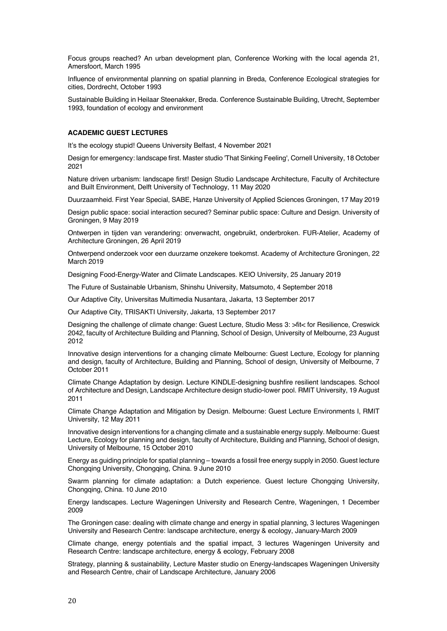Focus groups reached? An urban development plan, Conference Working with the local agenda 21, Amersfoort, March 1995

Influence of environmental planning on spatial planning in Breda, Conference Ecological strategies for cities, Dordrecht, October 1993

Sustainable Building in Heilaar Steenakker, Breda. Conference Sustainable Building, Utrecht, September 1993, foundation of ecology and environment

# **ACADEMIC GUEST LECTURES**

It's the ecology stupid! Queens University Belfast, 4 November 2021

Design for emergency: landscape first. Master studio 'That Sinking Feeling', Cornell University, 18 October 2021

Nature driven urbanism: landscape first! Design Studio Landscape Architecture, Faculty of Architecture and Built Environment, Delft University of Technology, 11 May 2020

Duurzaamheid. First Year Special, SABE, Hanze University of Applied Sciences Groningen, 17 May 2019

Design public space: social interaction secured? Seminar public space: Culture and Design. University of Groningen, 9 May 2019

Ontwerpen in tijden van verandering: onverwacht, ongebruikt, onderbroken. FUR-Atelier, Academy of Architecture Groningen, 26 April 2019

Ontwerpend onderzoek voor een duurzame onzekere toekomst. Academy of Architecture Groningen, 22 March 2019

Designing Food-Energy-Water and Climate Landscapes. KEIO University, 25 January 2019

The Future of Sustainable Urbanism, Shinshu University, Matsumoto, 4 September 2018

Our Adaptive City, Universitas Multimedia Nusantara, Jakarta, 13 September 2017

Our Adaptive City, TRISAKTI University, Jakarta, 13 September 2017

Designing the challenge of climate change: Guest Lecture, Studio Mess 3: >fit< for Resilience, Creswick 2042, faculty of Architecture Building and Planning, School of Design, University of Melbourne, 23 August 2012

Innovative design interventions for a changing climate Melbourne: Guest Lecture, Ecology for planning and design, faculty of Architecture, Building and Planning, School of design, University of Melbourne, 7 October 2011

Climate Change Adaptation by design. Lecture KINDLE-designing bushfire resilient landscapes. School of Architecture and Design, Landscape Architecture design studio-lower pool. RMIT University, 19 August 2011

Climate Change Adaptation and Mitigation by Design. Melbourne: Guest Lecture Environments I, RMIT University, 12 May 2011

Innovative design interventions for a changing climate and a sustainable energy supply. Melbourne: Guest Lecture, Ecology for planning and design, faculty of Architecture, Building and Planning, School of design, University of Melbourne, 15 October 2010

Energy as guiding principle for spatial planning – towards a fossil free energy supply in 2050. Guest lecture Chongqing University, Chongqing, China. 9 June 2010

Swarm planning for climate adaptation: a Dutch experience. Guest lecture Chongqing University, Chongqing, China. 10 June 2010

Energy landscapes. Lecture Wageningen University and Research Centre, Wageningen, 1 December 2009

The Groningen case: dealing with climate change and energy in spatial planning, 3 lectures Wageningen University and Research Centre: landscape architecture, energy & ecology, January-March 2009

Climate change, energy potentials and the spatial impact, 3 lectures Wageningen University and Research Centre: landscape architecture, energy & ecology, February 2008

Strategy, planning & sustainability, Lecture Master studio on Energy-landscapes Wageningen University and Research Centre, chair of Landscape Architecture, January 2006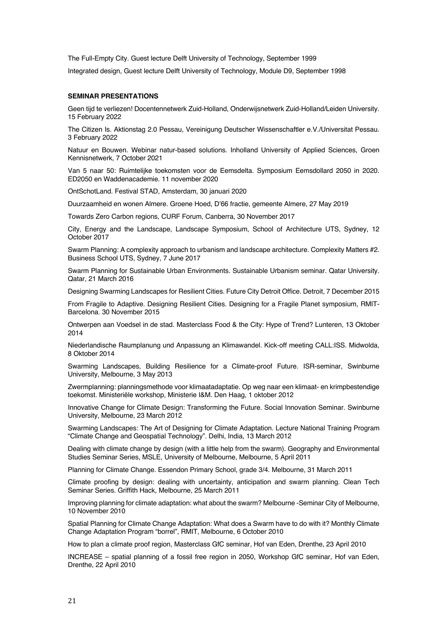The Full-Empty City. Guest lecture Delft University of Technology, September 1999

Integrated design, Guest lecture Delft University of Technology, Module D9, September 1998

## **SEMINAR PRESENTATIONS**

Geen tijd te verliezen! Docentennetwerk Zuid-Holland, Onderwijsnetwerk Zuid-Holland/Leiden University. 15 February 2022

The Citizen Is. Aktionstag 2.0 Pessau, Vereinigung Deutscher Wissenschaftler e.V./Universitat Pessau. 3 February 2022

Natuur en Bouwen. Webinar natur-based solutions. Inholland University of Applied Sciences, Groen Kennisnetwerk, 7 October 2021

Van 5 naar 50: Ruimtelijke toekomsten voor de Eemsdelta. Symposium Eemsdollard 2050 in 2020. ED2050 en Waddenacademie. 11 november 2020

OntSchotLand. Festival STAD, Amsterdam, 30 januari 2020

Duurzaamheid en wonen Almere. Groene Hoed, D'66 fractie, gemeente Almere, 27 May 2019

Towards Zero Carbon regions, CURF Forum, Canberra, 30 November 2017

City, Energy and the Landscape, Landscape Symposium, School of Architecture UTS, Sydney, 12 October 2017

Swarm Planning: A complexity approach to urbanism and landscape architecture. Complexity Matters #2. Business School UTS, Sydney, 7 June 2017

Swarm Planning for Sustainable Urban Environments. Sustainable Urbanism seminar. Qatar University. Qatar, 21 March 2016

Designing Swarming Landscapes for Resilient Cities. Future City Detroit Office. Detroit, 7 December 2015

From Fragile to Adaptive. Designing Resilient Cities. Designing for a Fragile Planet symposium, RMIT-Barcelona. 30 November 2015

Ontwerpen aan Voedsel in de stad. Masterclass Food & the City: Hype of Trend? Lunteren, 13 Oktober 2014

Niederlandische Raumplanung und Anpassung an Klimawandel. Kick-off meeting CALL:ISS. Midwolda, 8 Oktober 2014

Swarming Landscapes, Building Resilience for a Climate-proof Future. ISR-seminar, Swinburne University, Melbourne, 3 May 2013

Zwermplanning: planningsmethode voor klimaatadaptatie. Op weg naar een klimaat- en krimpbestendige toekomst. Ministeriële workshop, Ministerie I&M. Den Haag, 1 oktober 2012

Innovative Change for Climate Design: Transforming the Future. Social Innovation Seminar. Swinburne University, Melbourne, 23 March 2012

Swarming Landscapes: The Art of Designing for Climate Adaptation. Lecture National Training Program "Climate Change and Geospatial Technology". Delhi, India, 13 March 2012

Dealing with climate change by design (with a little help from the swarm). Geography and Environmental Studies Seminar Series, MSLE, University of Melbourne, Melbourne, 5 April 2011

Planning for Climate Change. Essendon Primary School, grade 3/4. Melbourne, 31 March 2011

Climate proofing by design: dealing with uncertainty, anticipation and swarm planning. Clean Tech Seminar Series. Griffith Hack, Melbourne, 25 March 2011

Improving planning for climate adaptation: what about the swarm? Melbourne -Seminar City of Melbourne, 10 November 2010

Spatial Planning for Climate Change Adaptation: What does a Swarm have to do with it? Monthly Climate Change Adaptation Program "borrel", RMIT, Melbourne, 6 October 2010

How to plan a climate proof region, Masterclass GfC seminar, Hof van Eden, Drenthe, 23 April 2010

INCREASE – spatial planning of a fossil free region in 2050, Workshop GfC seminar, Hof van Eden, Drenthe, 22 April 2010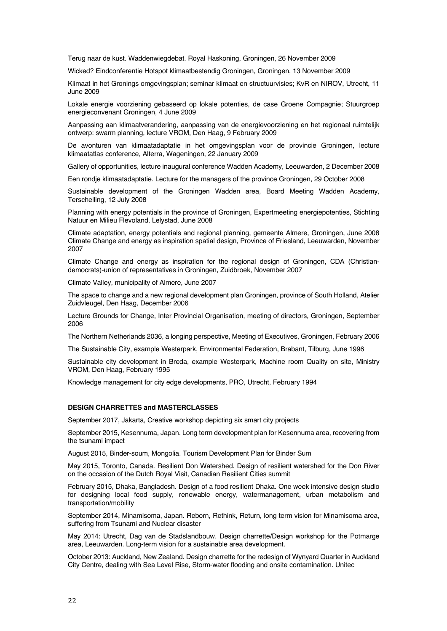Terug naar de kust. Waddenwiegdebat. Royal Haskoning, Groningen, 26 November 2009

Wicked? Eindconferentie Hotspot klimaatbestendig Groningen, Groningen, 13 November 2009

Klimaat in het Gronings omgevingsplan; seminar klimaat en structuurvisies; KvR en NIROV, Utrecht, 11 June 2009

Lokale energie voorziening gebaseerd op lokale potenties, de case Groene Compagnie; Stuurgroep energieconvenant Groningen, 4 June 2009

Aanpassing aan klimaatverandering, aanpassing van de energievoorziening en het regionaal ruimtelijk ontwerp: swarm planning, lecture VROM, Den Haag, 9 February 2009

De avonturen van klimaatadaptatie in het omgevingsplan voor de provincie Groningen, lecture klimaatatlas conference, Alterra, Wageningen, 22 January 2009

Gallery of opportunities, lecture inaugural conference Wadden Academy, Leeuwarden, 2 December 2008

Een rondje klimaatadaptatie. Lecture for the managers of the province Groningen, 29 October 2008

Sustainable development of the Groningen Wadden area, Board Meeting Wadden Academy, Terschelling, 12 July 2008

Planning with energy potentials in the province of Groningen, Expertmeeting energiepotenties, Stichting Natuur en Milieu Flevoland, Lelystad, June 2008

Climate adaptation, energy potentials and regional planning, gemeente Almere, Groningen, June 2008 Climate Change and energy as inspiration spatial design, Province of Friesland, Leeuwarden, November 2007

Climate Change and energy as inspiration for the regional design of Groningen, CDA (Christiandemocrats)-union of representatives in Groningen, Zuidbroek, November 2007

Climate Valley, municipality of Almere, June 2007

The space to change and a new regional development plan Groningen, province of South Holland, Atelier Zuidvleugel, Den Haag, December 2006

Lecture Grounds for Change, Inter Provincial Organisation, meeting of directors, Groningen, September 2006

The Northern Netherlands 2036, a longing perspective, Meeting of Executives, Groningen, February 2006

The Sustainable City, example Westerpark, Environmental Federation, Brabant, Tilburg, June 1996

Sustainable city development in Breda, example Westerpark, Machine room Quality on site, Ministry VROM, Den Haag, February 1995

Knowledge management for city edge developments, PRO, Utrecht, February 1994

## **DESIGN CHARRETTES and MASTERCLASSES**

September 2017, Jakarta, Creative workshop depicting six smart city projects

September 2015, Kesennuma, Japan. Long term development plan for Kesennuma area, recovering from the tsunami impact

August 2015, Binder-soum, Mongolia. Tourism Development Plan for Binder Sum

May 2015, Toronto, Canada. Resilient Don Watershed. Design of resilient watershed for the Don River on the occasion of the Dutch Royal Visit, Canadian Resilient Cities summit

February 2015, Dhaka, Bangladesh. Design of a food resilient Dhaka. One week intensive design studio for designing local food supply, renewable energy, watermanagement, urban metabolism and transportation/mobility

September 2014, Minamisoma, Japan. Reborn, Rethink, Return, long term vision for Minamisoma area, suffering from Tsunami and Nuclear disaster

May 2014: Utrecht, Dag van de Stadslandbouw. Design charrette/Design workshop for the Potmarge area, Leeuwarden. Long-term vision for a sustainable area development.

October 2013: Auckland, New Zealand. Design charrette for the redesign of Wynyard Quarter in Auckland City Centre, dealing with Sea Level Rise, Storm-water flooding and onsite contamination. Unitec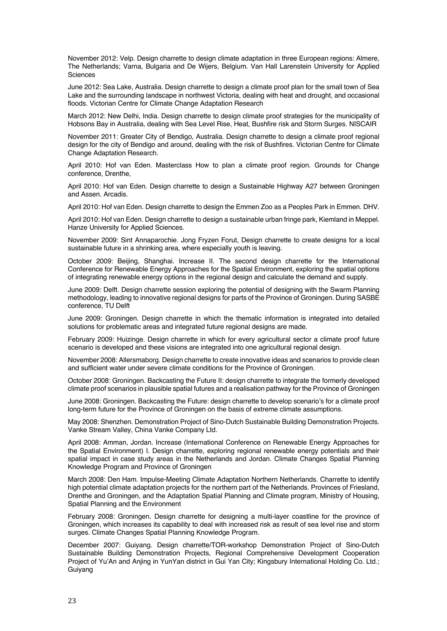November 2012: Velp. Design charrette to design climate adaptation in three European regions: Almere, The Netherlands; Varna, Bulgaria and De Wijers, Belgium. Van Hall Larenstein University for Applied Sciences

June 2012: Sea Lake, Australia. Design charrette to design a climate proof plan for the small town of Sea Lake and the surrounding landscape in northwest Victoria, dealing with heat and drought, and occasional floods. Victorian Centre for Climate Change Adaptation Research

March 2012: New Delhi, India. Design charrette to design climate proof strategies for the municipality of Hobsons Bay in Australia, dealing with Sea Level Rise, Heat, Bushfire risk and Storm Surges. NISCAIR

November 2011: Greater City of Bendigo, Australia. Design charrette to design a climate proof regional design for the city of Bendigo and around, dealing with the risk of Bushfires. Victorian Centre for Climate Change Adaptation Research.

April 2010: Hof van Eden. Masterclass How to plan a climate proof region. Grounds for Change conference, Drenthe,

April 2010: Hof van Eden. Design charrette to design a Sustainable Highway A27 between Groningen and Assen. Arcadis.

April 2010: Hof van Eden. Design charrette to design the Emmen Zoo as a Peoples Park in Emmen. DHV.

April 2010: Hof van Eden. Design charrette to design a sustainable urban fringe park, Kiemland in Meppel. Hanze University for Applied Sciences.

November 2009: Sint Annaparochie. Jong Fryzen Forut, Design charrette to create designs for a local sustainable future in a shrinking area, where especially youth is leaving.

October 2009: Beijing, Shanghai. Increase II. The second design charrette for the International Conference for Renewable Energy Approaches for the Spatial Environment, exploring the spatial options of integrating renewable energy options in the regional design and calculate the demand and supply.

June 2009: Delft. Design charrette session exploring the potential of designing with the Swarm Planning methodology, leading to innovative regional designs for parts of the Province of Groningen. During SASBE conference, TU Delft

June 2009: Groningen. Design charrette in which the thematic information is integrated into detailed solutions for problematic areas and integrated future regional designs are made.

February 2009: Huizinge. Design charrette in which for every agricultural sector a climate proof future scenario is developed and these visions are integrated into one agricultural regional design.

November 2008: Allersmaborg. Design charrette to create innovative ideas and scenarios to provide clean and sufficient water under severe climate conditions for the Province of Groningen.

October 2008: Groningen. Backcasting the Future II: design charrette to integrate the formerly developed climate proof scenarios in plausible spatial futures and a realisation pathway for the Province of Groningen

June 2008: Groningen. Backcasting the Future: design charrette to develop scenario's for a climate proof long-term future for the Province of Groningen on the basis of extreme climate assumptions.

May 2008: Shenzhen. Demonstration Project of Sino-Dutch Sustainable Building Demonstration Projects. Vanke Stream Valley, China Vanke Company Ltd.

April 2008: Amman, Jordan. Increase (International Conference on Renewable Energy Approaches for the Spatial Environment) I. Design charrette, exploring regional renewable energy potentials and their spatial impact in case study areas in the Netherlands and Jordan. Climate Changes Spatial Planning Knowledge Program and Province of Groningen

March 2008: Den Ham. Impulse-Meeting Climate Adaptation Northern Netherlands. Charrette to identify high potential climate adaptation projects for the northern part of the Netherlands. Provinces of Friesland, Drenthe and Groningen, and the Adaptation Spatial Planning and Climate program, Ministry of Housing, Spatial Planning and the Environment

February 2008: Groningen. Design charrette for designing a multi-layer coastline for the province of Groningen, which increases its capability to deal with increased risk as result of sea level rise and storm surges. Climate Changes Spatial Planning Knowledge Program.

December 2007: Guiyang. Design charrette/TOR-workshop Demonstration Project of Sino-Dutch Sustainable Building Demonstration Projects, Regional Comprehensive Development Cooperation Project of Yu'An and Anjing in YunYan district in Gui Yan City; Kingsbury International Holding Co. Ltd.; Guiyang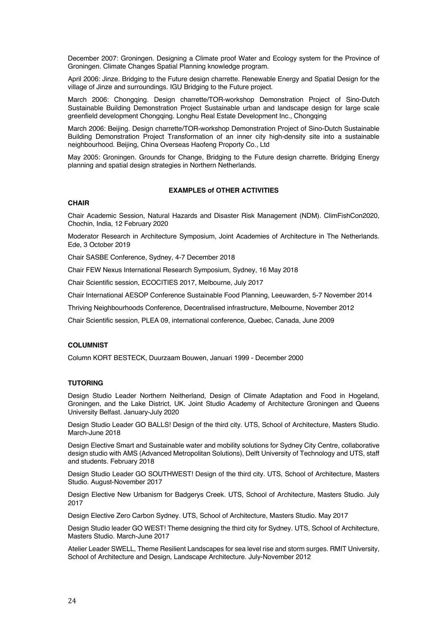December 2007: Groningen. Designing a Climate proof Water and Ecology system for the Province of Groningen. Climate Changes Spatial Planning knowledge program.

April 2006: Jinze. Bridging to the Future design charrette. Renewable Energy and Spatial Design for the village of Jinze and surroundings. IGU Bridging to the Future project.

March 2006: Chongqing. Design charrette/TOR-workshop Demonstration Project of Sino-Dutch Sustainable Building Demonstration Project Sustainable urban and landscape design for large scale greenfield development Chongqing. Longhu Real Estate Development Inc., Chongqing

March 2006: Beijing. Design charrette/TOR-workshop Demonstration Project of Sino-Dutch Sustainable Building Demonstration Project Transformation of an inner city high-density site into a sustainable neighbourhood. Beijing, China Overseas Haofeng Proporty Co., Ltd

May 2005: Groningen. Grounds for Change, Bridging to the Future design charrette. Bridging Energy planning and spatial design strategies in Northern Netherlands.

# **EXAMPLES of OTHER ACTIVITIES**

# **CHAIR**

Chair Academic Session, Natural Hazards and Disaster Risk Management (NDM). ClimFishCon2020, Chochin, India, 12 February 2020

Moderator Research in Architecture Symposium, Joint Academies of Architecture in The Netherlands. Ede, 3 October 2019

Chair SASBE Conference, Sydney, 4-7 December 2018

Chair FEW Nexus International Research Symposium, Sydney, 16 May 2018

Chair Scientific session, ECOCITIES 2017, Melbourne, July 2017

Chair International AESOP Conference Sustainable Food Planning, Leeuwarden, 5-7 November 2014

Thriving Neighbourhoods Conference, Decentralised infrastructure, Melbourne, November 2012

Chair Scientific session, PLEA 09, international conference, Quebec, Canada, June 2009

## **COLUMNIST**

Column KORT BESTECK, Duurzaam Bouwen, Januari 1999 - December 2000

### **TUTORING**

Design Studio Leader Northern Neitherland, Design of Climate Adaptation and Food in Hogeland, Groningen, and the Lake District, UK. Joint Studio Academy of Architecture Groningen and Queens University Belfast. January-July 2020

Design Studio Leader GO BALLS! Design of the third city. UTS, School of Architecture, Masters Studio. March-June 2018

Design Elective Smart and Sustainable water and mobility solutions for Sydney City Centre, collaborative design studio with AMS (Advanced Metropolitan Solutions), Delft University of Technology and UTS, staff and students. February 2018

Design Studio Leader GO SOUTHWEST! Design of the third city. UTS, School of Architecture, Masters Studio. August-November 2017

Design Elective New Urbanism for Badgerys Creek. UTS, School of Architecture, Masters Studio. July 2017

Design Elective Zero Carbon Sydney. UTS, School of Architecture, Masters Studio. May 2017

Design Studio leader GO WEST! Theme designing the third city for Sydney. UTS, School of Architecture, Masters Studio. March-June 2017

Atelier Leader SWELL, Theme Resilient Landscapes for sea level rise and storm surges. RMIT University, School of Architecture and Design, Landscape Architecture. July-November 2012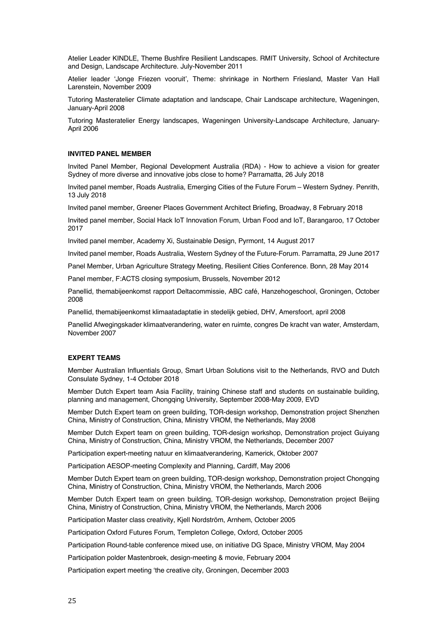Atelier Leader KINDLE, Theme Bushfire Resilient Landscapes. RMIT University, School of Architecture and Design, Landscape Architecture. July-November 2011

Atelier leader 'Jonge Friezen vooruit', Theme: shrinkage in Northern Friesland, Master Van Hall Larenstein, November 2009

Tutoring Masteratelier Climate adaptation and landscape, Chair Landscape architecture, Wageningen, January-April 2008

Tutoring Masteratelier Energy landscapes, Wageningen University-Landscape Architecture, January-April 2006

### **INVITED PANEL MEMBER**

Invited Panel Member, Regional Development Australia (RDA) - How to achieve a vision for greater Sydney of more diverse and innovative jobs close to home? Parramatta, 26 July 2018

Invited panel member, Roads Australia, Emerging Cities of the Future Forum – Western Sydney. Penrith, 13 July 2018

Invited panel member, Greener Places Government Architect Briefing, Broadway, 8 February 2018

Invited panel member, Social Hack IoT Innovation Forum, Urban Food and IoT, Barangaroo, 17 October 2017

Invited panel member, Academy Xi, Sustainable Design, Pyrmont, 14 August 2017

Invited panel member, Roads Australia, Western Sydney of the Future-Forum. Parramatta, 29 June 2017

Panel Member, Urban Agriculture Strategy Meeting, Resilient Cities Conference. Bonn, 28 May 2014

Panel member, F:ACTS closing symposium, Brussels, November 2012

Panellid, themabijeenkomst rapport Deltacommissie, ABC café, Hanzehogeschool, Groningen, October 2008

Panellid, themabijeenkomst klimaatadaptatie in stedelijk gebied, DHV, Amersfoort, april 2008

Panellid Afwegingskader klimaatverandering, water en ruimte, congres De kracht van water, Amsterdam, November 2007

### **EXPERT TEAMS**

Member Australian Influentials Group, Smart Urban Solutions visit to the Netherlands, RVO and Dutch Consulate Sydney, 1-4 October 2018

Member Dutch Expert team Asia Facility, training Chinese staff and students on sustainable building, planning and management, Chongqing University, September 2008-May 2009, EVD

Member Dutch Expert team on green building, TOR-design workshop, Demonstration project Shenzhen China, Ministry of Construction, China, Ministry VROM, the Netherlands, May 2008

Member Dutch Expert team on green building, TOR-design workshop, Demonstration project Guiyang China, Ministry of Construction, China, Ministry VROM, the Netherlands, December 2007

Participation expert-meeting natuur en klimaatverandering, Kamerick, Oktober 2007

Participation AESOP-meeting Complexity and Planning, Cardiff, May 2006

Member Dutch Expert team on green building, TOR-design workshop, Demonstration project Chongqing China, Ministry of Construction, China, Ministry VROM, the Netherlands, March 2006

Member Dutch Expert team on green building, TOR-design workshop, Demonstration project Beijing China, Ministry of Construction, China, Ministry VROM, the Netherlands, March 2006

Participation Master class creativity, Kjell Nordström, Arnhem, October 2005

Participation Oxford Futures Forum, Templeton College, Oxford, October 2005

Participation Round-table conference mixed use, on initiative DG Space, Ministry VROM, May 2004

Participation polder Mastenbroek, design-meeting & movie, February 2004

Participation expert meeting 'the creative city, Groningen, December 2003